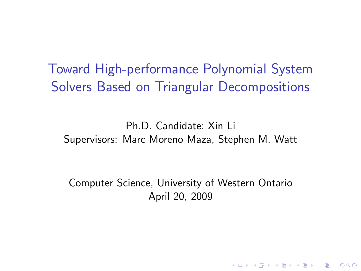Toward High-performance Polynomial System Solvers Based on Triangular Decompositions

Ph.D. Candidate: Xin Li Supervisors: Marc Moreno Maza, Stephen M. Watt

<span id="page-0-0"></span>Computer Science, University of Western Ontario April 20, 2009

**K ロ ▶ K @ ▶ K 할 X X 할 X → 할 X → 9 Q Q ^**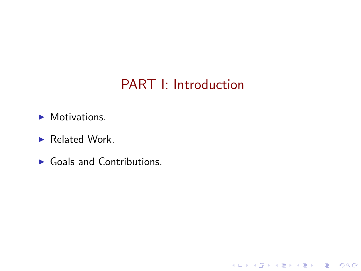## PART I: Introduction

K ロ X イロ X K ミ X K ミ X ミ X Y Q Q Q

- ▶ Motivations.
- ▶ Related Work.
- ▶ Goals and Contributions.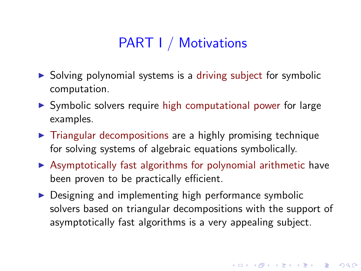## PART I / Motivations

- $\triangleright$  Solving polynomial systems is a driving subject for symbolic computation.
- ▶ Symbolic solvers require high computational power for large examples.
- $\triangleright$  Triangular decompositions are a highly promising technique for solving systems of algebraic equations symbolically.
- $\triangleright$  Asymptotically fast algorithms for polynomial arithmetic have been proven to be practically efficient.
- $\triangleright$  Designing and implementing high performance symbolic solvers based on triangular decompositions with the support of asymptotically fast algorithms is a very appealing subject.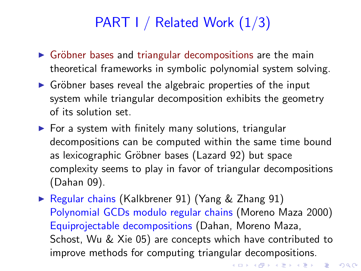# PART I / Related Work (1/3)

- $\triangleright$  Gröbner bases and triangular decompositions are the main theoretical frameworks in symbolic polynomial system solving.
- $\triangleright$  Gröbner bases reveal the algebraic properties of the input system while triangular decomposition exhibits the geometry of its solution set.
- $\triangleright$  For a system with finitely many solutions, triangular decompositions can be computed within the same time bound as lexicographic Gröbner bases (Lazard 92) but space complexity seems to play in favor of triangular decompositions (Dahan 09).
- ► Regular chains (Kalkbrener 91) (Yang & Zhang 91) Polynomial GCDs modulo regular chains (Moreno Maza 2000) Equiprojectable decompositions (Dahan, Moreno Maza, Schost, Wu & Xie 05) are concepts which have contributed to improve methods for computing triangular decompositions.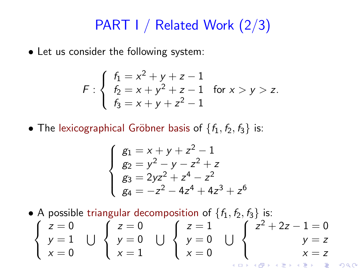## PART I / Related Work (2/3)

• Let us consider the following system:

$$
F: \begin{cases} f_1 = x^2 + y + z - 1 \\ f_2 = x + y^2 + z - 1 \\ f_3 = x + y + z^2 - 1 \end{cases}
$$
 for  $x > y > z$ .

• The lexicographical Gröbner basis of  $\{f_1, f_2, f_3\}$  is:

$$
\begin{cases}\n g_1 = x + y + z^2 - 1 \\
 g_2 = y^2 - y - z^2 + z \\
 g_3 = 2yz^2 + z^4 - z^2 \\
 g_4 = -z^2 - 4z^4 + 4z^3 + z^6\n\end{cases}
$$

• A possible triangular decomposition of  $\{f_1, f_2, f_3\}$  is:

$$
\begin{cases}\nz = 0 \\
y = 1 \\
x = 0\n\end{cases}\n\quad\n\bigcup\n\begin{cases}\nz = 0 \\
y = 0 \\
x = 1\n\end{cases}\n\quad\n\bigcup\n\begin{cases}\nz = 1 \\
y = 0 \\
x = 0\n\end{cases}\n\quad\n\bigcup\n\begin{cases}\nz^2 + 2z - 1 = 0 \\
y = z \\
x = z\n\end{cases}
$$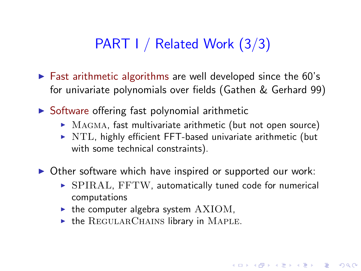### PART I / Related Work (3/3)

- $\triangleright$  Fast arithmetic algorithms are well developed since the 60's for univariate polynomials over fields (Gathen & Gerhard 99)
- $\triangleright$  Software offering fast polynomial arithmetic
	- $\triangleright$  MAGMA, fast multivariate arithmetic (but not open source)
	- $\triangleright$  NTL, highly efficient FFT-based univariate arithmetic (but with some technical constraints).
- $\triangleright$  Other software which have inspired or supported our work:
	- $\triangleright$  SPIRAL, FFTW, automatically tuned code for numerical computations

4 D > 4 P > 4 E > 4 E > E + 9 Q O

- $\blacktriangleright$  the computer algebra system  $AXIOM$ ,
- $\triangleright$  the REGULARCHAINS library in MAPLE.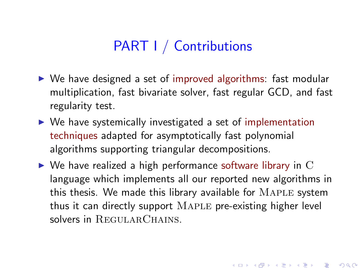### PART I / Contributions

- ▶ We have designed a set of improved algorithms: fast modular multiplication, fast bivariate solver, fast regular GCD, and fast regularity test.
- $\triangleright$  We have systemically investigated a set of implementation techniques adapted for asymptotically fast polynomial algorithms supporting triangular decompositions.
- $\triangleright$  We have realized a high performance software library in C language which implements all our reported new algorithms in this thesis. We made this library available for  $MAPLE$  system thus it can directly support Maple pre-existing higher level solvers in REGULARCHAINS.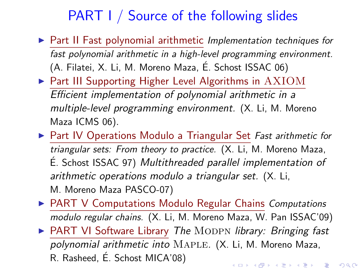## PART I / Source of the following slides

- ▶ Part II Fast polynomial arithmetic Implementation techniques for fast polynomial arithmetic in a high-level programming environment. (A. Filatei, X. Li, M. Moreno Maza, E. Schost ISSAC 06) ´
- ▶ Part III Supporting Higher Level Algorithms in AXIOM Efficient implementation of polynomial arithmetic in a multiple-level programming environment. (X. Li, M. Moreno Maza ICMS 06).
- ▶ Part IV Operations Modulo a Triangular Set Fast arithmetic for triangular sets: From theory to practice. (X. Li, M. Moreno Maza,  $É.$  Schost ISSAC 97) Multithreaded parallel implementation of arithmetic operations modulo a triangular set. (X. Li, M. Moreno Maza PASCO-07)
- ▶ PART V Computations Modulo Regular Chains Computations modulo regular chains. (X. Li, M. Moreno Maza, W. Pan ISSAC'09) ▶ PART VI Software Library The MODPN library: Bringing fast polynomial arithmetic into Maple. (X. Li, M. Moreno Maza, R. Rasheed, E. Schost MICA'08) ´4 D > 4 P > 4 E > 4 E > E + 9 Q O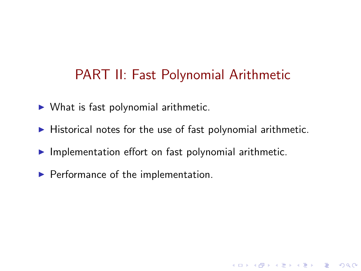### PART II: Fast Polynomial Arithmetic

- $\triangleright$  What is fast polynomial arithmetic.
- $\blacktriangleright$  Historical notes for the use of fast polynomial arithmetic.

**K ロ ▶ K @ ▶ K 할 X X 할 X → 할 X → 9 Q Q ^** 

- $\blacktriangleright$  Implementation effort on fast polynomial arithmetic.
- $\blacktriangleright$  Performance of the implementation.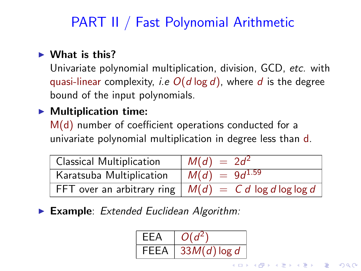## PART II / Fast Polynomial Arithmetic

#### $\blacktriangleright$  What is this?

Univariate polynomial multiplication, division, GCD, etc. with quasi-linear complexity, *i.e*  $O(d \log d)$ , where d is the degree bound of the input polynomials.

#### $\blacktriangleright$  Multiplication time:

M(d) number of coefficient operations conducted for a univariate polynomial multiplication in degree less than d.

| Classical Multiplication | $M(d) = 2d^2$                                           |
|--------------------------|---------------------------------------------------------|
| Karatsuba Multiplication | $M(d) = 9d^{1.59}$                                      |
|                          | FFT over an arbitrary ring $ M(d)  = C d \log d \log d$ |

 $\blacktriangleright$  Example: Extended Euclidean Algorithm:

$$
\begin{array}{|l|c|}\n\hline\n\text{EEA} & O(d^2) \\
\hline\n\text{FEEA} & 33M(d)\log d\n\end{array}
$$

 $\left\{ \begin{array}{ccc} 1 & 0 & 0 \\ 0 & 1 & 0 \end{array} \right.$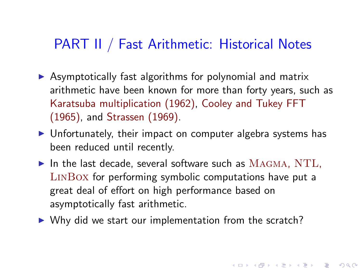#### PART II / Fast Arithmetic: Historical Notes

- $\triangleright$  Asymptotically fast algorithms for polynomial and matrix arithmetic have been known for more than forty years, such as Karatsuba multiplication (1962), Cooley and Tukey FFT (1965), and Strassen (1969).
- ▶ Unfortunately, their impact on computer algebra systems has been reduced until recently.
- $\blacktriangleright$  In the last decade, several software such as  $MAGMA$ ,  $NTL$ , LinBox for performing symbolic computations have put a great deal of effort on high performance based on asymptotically fast arithmetic.

 $\triangleright$  Why did we start our implementation from the scratch?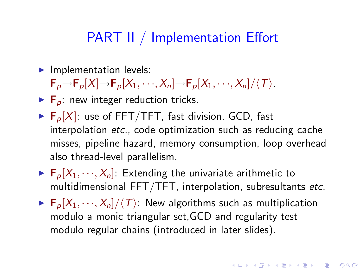#### PART II / Implementation Effort

 $\blacktriangleright$  Implementation levels:

 $\mathsf{F}_p \rightarrow \mathsf{F}_p[X] \rightarrow \mathsf{F}_p[X_1, \cdots, X_n] \rightarrow \mathsf{F}_p[X_1, \cdots, X_n]/\langle T \rangle$ .

- $\blacktriangleright$  F<sub>p</sub>: new integer reduction tricks.
- $\blacktriangleright$  F<sub>p</sub>[X]: use of FFT/TFT, fast division, GCD, fast interpolation etc., code optimization such as reducing cache misses, pipeline hazard, memory consumption, loop overhead also thread-level parallelism.
- $\blacktriangleright$   $\mathbf{F}_p[X_1, \dots, X_n]$ : Extending the univariate arithmetic to multidimensional FFT/TFT, interpolation, subresultants etc.
- $\blacktriangleright$   $\mathbf{F}_p[X_1, \dots, X_n]/\langle T \rangle$ : New algorithms such as multiplication modulo a monic triangular set,GCD and regularity test modulo regular chains (introduced in later slides).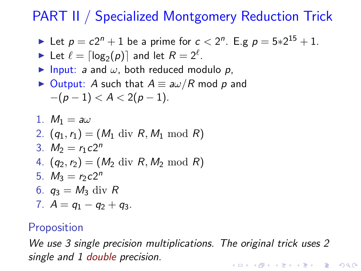## PART II / Specialized Montgomery Reduction Trick

Let 
$$
p = c2^n + 1
$$
 be a prime for  $c < 2^n$ . E.g  $p = 5 \times 2^{15} + 1$ .

Let 
$$
\ell = \lceil \log_2(p) \rceil
$$
 and let  $R = 2^{\ell}$ .

 $\triangleright$  Input: a and  $\omega$ , both reduced modulo p,

► Output: *A* such that 
$$
A \equiv a\omega/R \mod p
$$
 and  $-(p-1) < A < 2(p-1)$ .

1. 
$$
M_1 = a\omega
$$
  
\n2.  $(q_1, r_1) = (M_1 \text{ div } R, M_1 \text{ mod } R)$   
\n3.  $M_2 = r_1 c 2^n$   
\n4.  $(q_2, r_2) = (M_2 \text{ div } R, M_2 \text{ mod } R)$   
\n5.  $M_3 = r_2 c 2^n$   
\n6.  $q_3 = M_3 \text{ div } R$   
\n7.  $A = q_1 - q_2 + q_3$ .

#### **Proposition**

We use 3 single precision multiplications. The original trick uses 2 single and 1 double precision.**K ロ ▶ K @ ▶ K 할 X X 할 X 및 할 X X Q Q O \***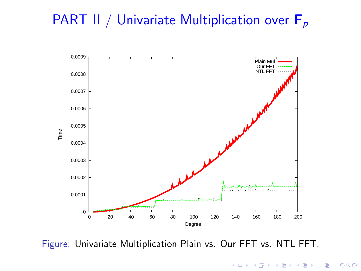## PART II / Univariate Multiplication over  $F_p$



Figure: Univariate Multiplication Plain vs. Our FFT vs. NTL FFT.

K ロ X K @ X K 할 X K 할 X 및 할 X 9 Q Q\*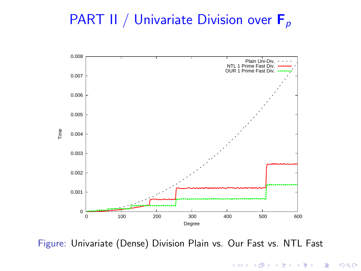## PART II / Univariate Division over  $F_p$



Figure: Univariate (Dense) Division Plain vs. Our Fast vs. NTL Fast

K ロ > K @ > K 할 > K 할 > 1 할 : ⊙ Q Q^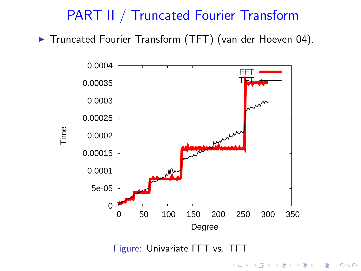#### PART II / Truncated Fourier Transform

▶ Truncated Fourier Transform (TFT) (van der Hoeven 04).



K ロ X K @ X K 할 X K 할 X 및 할 X 9 Q Q\*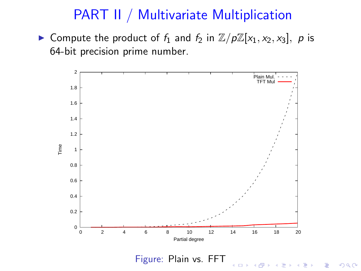#### PART II / Multivariate Multiplication

► Compute the product of  $f_1$  and  $f_2$  in  $\mathbb{Z}/p\mathbb{Z}[x_1, x_2, x_3]$ , p is 64-bit precision prime number.



 $299$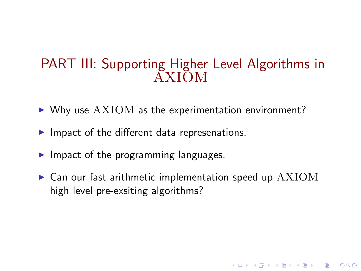#### PART III: Supporting Higher Level Algorithms in AXIOM

- $\triangleright$  Why use  $AXIOM$  as the experimentation environment?
- $\blacktriangleright$  Impact of the different data represenations.
- $\blacktriangleright$  Impact of the programming languages.
- $\blacktriangleright$  Can our fast arithmetic implementation speed up  $AXIOM$ high level pre-exsiting algorithms?

**K ロ ▶ K @ ▶ K 할 X X 할 X → 할 X → 9 Q Q ^**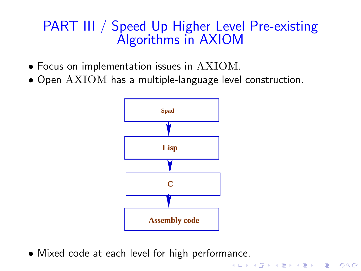### PART III / Speed Up Higher Level Pre-existing Algorithms in AXIOM

- Focus on implementation issues in AXIOM.
- Open AXIOM has a multiple-language level construction.



K ロ X K @ X K 할 X K 할 X 및 할 X 9 Q Q\*

• Mixed code at each level for high performance.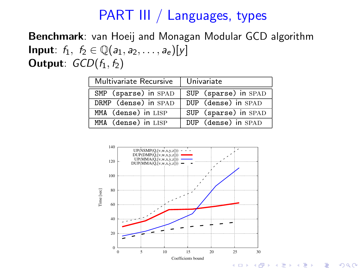### PART III / Languages, types

Benchmark: van Hoeij and Monagan Modular GCD algorithm **Input**:  $f_1, f_2 \in \mathbb{Q}(a_1, a_2, \ldots, a_e)[y]$ Output:  $GCD(f_1, f_2)$ 

| Multivariate Recursive | Univariate           |  |
|------------------------|----------------------|--|
| SMP (sparse) in SPAD   | SUP (sparse) in SPAD |  |
| DRMP (dense) in SPAD   | DUP (dense) in SPAD  |  |
| MMA (dense) in LISP    | SUP (sparse) in SPAD |  |
| MMA (dense) in LISP    | DUP (dense) in SPAD  |  |

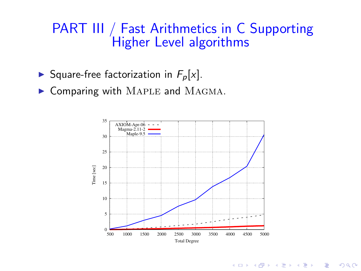#### PART III / Fast Arithmetics in C Supporting Higher Level algorithms

- Square-free factorization in  $F_p[x]$ .
- $\triangleright$  Comparing with MAPLE and MAGMA.



**KORK EX KEY KEY YOUR**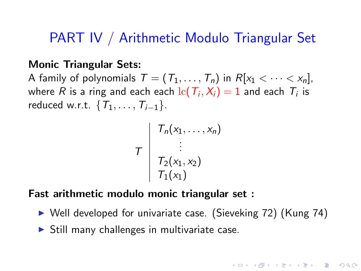#### PART IV / Arithmetic Modulo Triangular Set

#### Monic Triangular Sets:

A family of polynomials  $T = (T_1, \ldots, T_n)$  in  $R[x_1 < \cdots < x_n]$ , where  $R$  is a ring and each each  ${\rm lc}(\mathcal{T}_i,\mathcal{X}_i)=1$  and each  $\mathcal{T}_i$  is reduced w.r.t.  $\{T_1, \ldots, T_{i-1}\}.$ 

$$
\tau \begin{array}{c} T_n(x_1,\ldots,x_n) \\ \vdots \\ T_2(x_1,x_2) \\ T_1(x_1) \end{array}
$$

#### Fast arithmetic modulo monic triangular set :

▶ Well developed for univariate case. (Sieveking 72) (Kung 74)

**A O A G A 4 O A G A G A 4 O A 4 O A 4 O A 4 O A 4 O A 4 O A 4 O A 4 O A 4 O A 4 O A 4 O A 4 O A 4 O A** 

 $\triangleright$  Still many challenges in multivariate case.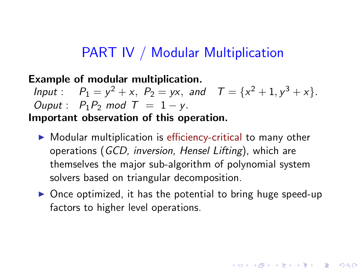#### PART IV / Modular Multiplication

#### Example of modular multiplication. Input:  $P_1 = y^2 + x$ ,  $P_2 = yx$ , and  $T = \{x^2 + 1, y^3 + x\}.$ Ouput :  $P_1P_2$  mod  $T = 1 - y$ . Important observation of this operation.

- ▶ Modular multiplication is efficiency-critical to many other operations (GCD, inversion, Hensel Lifting), which are themselves the major sub-algorithm of polynomial system solvers based on triangular decomposition.
- $\triangleright$  Once optimized, it has the potential to bring huge speed-up factors to higher level operations.

4 D > 4 P > 4 E > 4 E > E + 9 Q O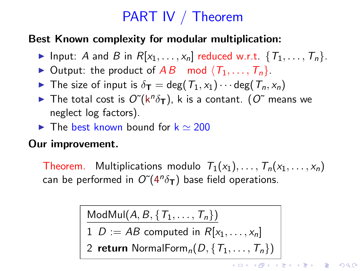# PART IV / Theorem

#### Best Known complexity for modular multiplication:

- Input: A and B in  $R[x_1, \ldots, x_n]$  reduced w.r.t.  $\{T_1, \ldots, T_n\}$ .
- ▶ Output: the product of  $AB \mod \langle T_1, \ldots, T_n \rangle$ .
- $\blacktriangleright$  The size of input is  $\delta_{\mathsf{T}} = \deg(T_1, x_1) \cdots \deg(T_n, x_n)$
- $\blacktriangleright$  The total cost is  $O\tilde{C}(k^n\delta_{\mathsf{T}})$ , k is a contant.  $(O\tilde{C})$  means we neglect log factors).
- $\triangleright$  The best known bound for  $k \simeq 200$

#### Our improvement.

Theorem. Multiplications modulo  $T_1(x_1), \ldots, T_n(x_1, \ldots, x_n)$ can be performed in  $O^{\sim}(4^n\delta_{\mathbf{T}})$  base field operations.

 $\mathsf{ModMul}(A, B, \{T_1, \ldots, T_n\})$ 

 $1\; D := AB$  computed in  $R[x_1,\ldots,x_n]$ 

2 return NormalForm $_n(D, \{T_1, \ldots, T_n\})$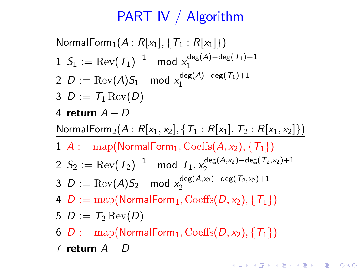# PART IV / Algorithm

NormalForm<sub>1</sub> $(A : R[x_1], {T_1 : R[x_1]})$  $1\;\; \mathcal{S}_1 := \mathrm{Rev}(\,\mathcal{T}_1)^{-1} \quad \mathsf{mod}\; \mathsf{x}_1^{\mathsf{deg}(\mathcal{A}) - \mathsf{deg}(\,\mathcal{T}_1) + 1}$ 1  $2$   $D := \mathrm{Rev}(A)S_1 \mod x_1^{\deg(A) - \deg(\mathcal{T}_1) + 1}$ 1 3  $D := T_1 \text{Rev}(D)$ 4 return  $A - D$ NormalForm<sub>2</sub>( $A : R[x_1, x_2], \{T_1 : R[x_1], T_2 : R[x_1, x_2]\})$  $1 \ A := \text{map}(\text{NormalForm}_1, \text{Coeffs}(A, x_2), \{T_1\})$  $2\,S_2:=\mathrm{Rev}\big({\,mathcal T}_2\big)^{-1} \mod {\mathcal T}_1, x_2^{\deg(A, x_2) - \deg(\mathcal T_2, x_2) + 1}$ 2  $3$   $D := \mathrm{Rev} (A) S_2 \mod x_2^{\deg(A, x_2) - \deg(\mathcal{T}_2, x_2) + 1}$ 2 4  $D := \text{map}(\text{NormalForm}_1, \text{Coeffs}(D, x_2), \{T_1\})$ 5  $D := T_2 \operatorname{Rev}(D)$ 6  $D := \text{map}(\text{NormalForm}_1, \text{Coeffs}(D, x_2), \{T_1\})$ return  $A - D$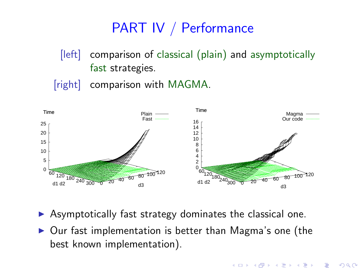# PART IV / Performance

- [left] comparison of classical (plain) and asymptotically fast strategies.
- [right] comparison with MAGMA.



- $\triangleright$  Asymptotically fast strategy dominates the classical one.
- <span id="page-25-0"></span>▶ Our fast implementation is better than Magma's one (the best known implementation).

**KORK ERKER ER AGA**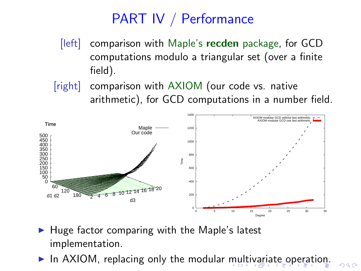## PART IV / Performance

- [left] comparison with Maple's recden package, for GCD computations modulo a triangular set (over a finite field).
- [right] comparison with AXIOM (our code vs. native arithmetic), for GCD computations in a number field.



- $\blacktriangleright$  Huge factor comparing with the Maple's latest implementation.
- <span id="page-26-0"></span>In AXIOM, replacing only the modular [mu](#page-25-0)[lti](#page-27-0)[v](#page-25-0)[ar](#page-26-0)[ia](#page-27-0)[te](#page-0-0) [op](#page-46-0)[er](#page-0-0)[ati](#page-46-0)[o](#page-0-0)[n.](#page-46-0)

 $QQ$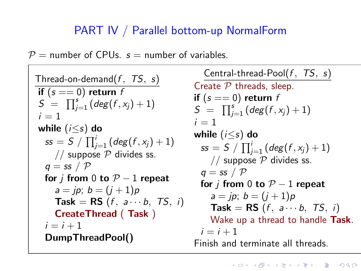#### PART IV / Parallel bottom-up NormalForm

 $P =$  number of CPUs.  $s =$  number of variables.

```
Thread-on-demand(f, TS, s)if (s == 0) return f
 S = \prod_{j=1}^{s} (deg(f, x_j) + 1)i = 1while (i < s) do
   ss = S \; / \; \prod_{j=1}^i \left( \text{\emph{deg}}(f, x_j) + 1 \right)// suppose P divides ss.
  q = ss / Pfor j from 0 to P-1 repeat
     a = ip; b = (i + 1)pTask = RS (f, a \cdots b, TS, i)CreateThread ( Task )
  i = i + 1DumpThreadPool()
                                                Central-thread-Pool(f, TS, s)
                                             Create P threads, sleep.
                                             if (s == 0) return f
                                             S = \prod_{j=1}^{s} (deg(f, x_j) + 1)i = 1while (i \leq s) do
                                               \textit{ss} = \textit{S} \ / \ \prod_{j=1}^{i} \left( \textit{deg} \big( \textit{f} , \textit{x}_{j} \big) + 1 \right)// suppose P divides ss.
                                               q = ss / Pfor j from 0 to P-1 repeat
                                                  a = ip; b = (i + 1)pTask = RS (f, a \cdots b, TS, i)Wake up a thread to handle Task.
                                               i = i + 1Finish and terminate all threads.
```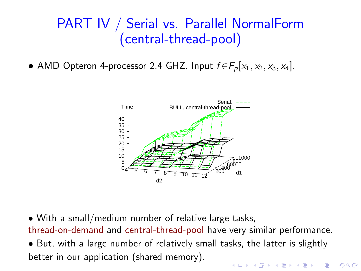### PART IV / Serial vs. Parallel NormalForm (central-thread-pool)

• AMD Opteron 4-processor 2.4 GHZ. Input  $f \in F_p[x_1, x_2, x_3, x_4]$ .



• With a small/medium number of relative large tasks, thread-on-demand and central-thread-pool have very similar performance. • But, with a large number of relatively small tasks, the latter is slightly better in our application (shared memory).**K ロ ▶ K @ ▶ K 할 X X 할 X → 할 X → 9 Q Q ^**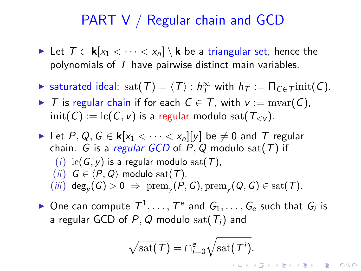#### PART V / Regular chain and GCD

- ► Let  $T \subset \mathbf{k}[x_1 < \cdots < x_n] \setminus \mathbf{k}$  be a triangular set, hence the polynomials of  $T$  have pairwise distinct main variables.
- ► saturated ideal: sat $(T) = \langle T \rangle : h_T^{\infty}$  with  $h_T := \Pi_{C \in \mathcal{T}}$ init $(C)$ .
- $\triangleright$  T is regular chain if for each  $C \in \mathcal{T}$ , with  $v := \text{mvar}(C)$ ,  $\text{init}(C) := \text{lc}(C, v)$  is a regular modulo sat $(T_{\leq v})$ .
- ► Let P, Q,  $G \in \mathbf{k}[x_1 < \cdots < x_n][y]$  be  $\neq 0$  and T regular chain. G is a regular GCD of  $P$ ,  $Q$  modulo sat( $T$ ) if (i)  $lc(G, v)$  is a regular modulo sat(T), (ii)  $G \in \langle P, Q \rangle$  modulo sat(T),  $(iii) \deg_y(G) > 0 \Rightarrow \text{prem}_y(P, G), \text{prem}_y(Q, G) \in \text{sat}(T).$
- <span id="page-29-0"></span> $\blacktriangleright$  One can compute  $T^1, \ldots, T^e$  and  $G_1, \ldots, G_e$  such that  $G_i$  is a regular GCD of P, Q modulo sat( $T_i$ ) and

$$
\sqrt{\mathrm{sat}(\mathcal{T})} = \bigcap_{i=0}^{e} \sqrt{\mathrm{sat}(\mathcal{T}^{i})}.
$$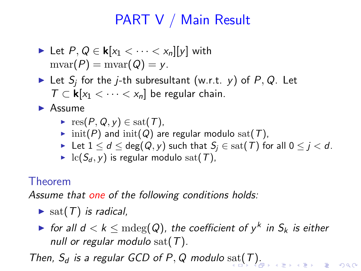## PART V / Main Result

- Let  $P, Q \in \mathbf{k}[x_1 < \cdots < x_n][y]$  with  $mvar(P) = mvar(Q) = y.$
- $\blacktriangleright$  Let  $S_j$  for the j-th subresultant (w.r.t. y) of P, Q. Let  $T \subset \mathbf{k}[x_1 < \cdots < x_n]$  be regular chain.

▶ Assume

- $\blacktriangleright$  res(P, Q, y)  $\in$  sat(T),
- init(P) and init(Q) are regular modulo sat(T),
- ► Let  $1 \le d \le \deg(Q, y)$  such that  $S_i \in \text{sat}(\mathcal{T})$  for all  $0 \le j < d$ .
- lc( $S_d$ , y) is regular modulo sat(T),

#### Theorem

Assume that one of the following conditions holds:

- $\blacktriangleright$  sat(T) is radical,
- $\blacktriangleright$  for all  $d < k \leq \mathrm{mdeg}(Q)$ , the coefficient of  $y^k$  in  $S_k$  is either null or regular modulo sat( $T$ ).

<span id="page-30-0"></span>[T](#page-31-0)hen,  $S_d$  is a regular GCD of P, Q modulo  $\text{sat}(T)$  $\text{sat}(T)$  $\text{sat}(T)$  $\text{sat}(T)$ [.](#page-30-0)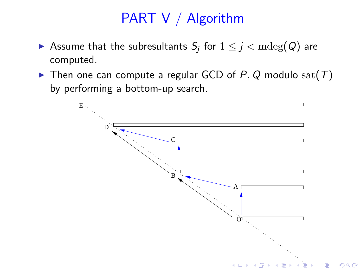# PART V / Algorithm

- $\blacktriangleright$  Assume that the subresultants  $\mathcal{S}_j$  for  $1 \leq j < \mathrm{mdeg}(Q)$  are computed.
- $\blacktriangleright$  Then one can compute a regular GCD of P, Q modulo sat(T) by performing a bottom-up search.

<span id="page-31-0"></span>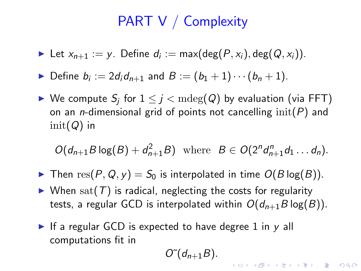### PART V / Complexity

- ► Let  $x_{n+1} := y$ . Define  $d_i := max(deg(P, x_i), deg(Q, x_i))$ .
- ▶ Define  $b_i := 2d_i d_{n+1}$  and  $B := (b_1 + 1) \cdots (b_n + 1)$ .
- $\blacktriangleright$  We compute  $S_j$  for  $1 \leq j < \mathrm{mdeg}(Q)$  by evaluation (via FFT) on an *n*-dimensional grid of points not cancelling  $init(P)$  and  $init(Q)$  in

$$
O(d_{n+1}B\log(B)+d_{n+1}^2B) \text{ where } B \in O(2^n d_{n+1}^n d_1 \ldots d_n).
$$

- $\blacktriangleright$  Then  $res(P, Q, y) = S_0$  is interpolated in time  $O(B \log(B)).$
- $\triangleright$  When sat(T) is radical, neglecting the costs for regularity tests, a regular GCD is interpolated within  $O(d_{n+1}B \log(B))$ .
- If a regular GCD is expected to have degree 1 in  $y$  all computations fit in

$$
O\tilde{O}(d_{n+1}B).
$$

**K ロ ▶ K @ ▶ K 할 X X 할 X → 할 X → 9 Q Q ^**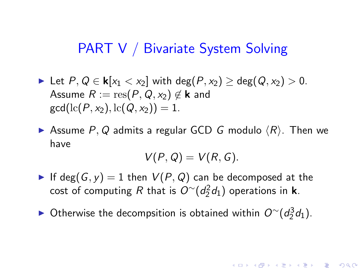#### PART V / Bivariate System Solving

- ► Let  $P, Q \in \mathbf{k}[x_1 < x_2]$  with  $deg(P, x_2) > deg(Q, x_2) > 0$ . Assume  $R := \text{res}(P, Q, x_2) \notin \mathbf{k}$  and  $gcd(lc(P, x_2), lc(Q, x_2)) = 1.$
- Assume P, Q admits a regular GCD G modulo  $\langle R \rangle$ . Then we have

$$
V(P,Q)=V(R,G).
$$

**A O A G A 4 O A G A G A 4 O A 4 O A 4 O A 4 O A 4 O A 4 O A 4 O A 4 O A 4 O A 4 O A 4 O A 4 O A 4 O A** 

- If deg(G, y) = 1 then  $V(P, Q)$  can be decomposed at the cost of computing R that is  $O^\sim(d_2^2d_1)$  operations in **k**.
- ► Otherwise the decompsition is obtained within  $O^{\sim}(d_2^3d_1)$ .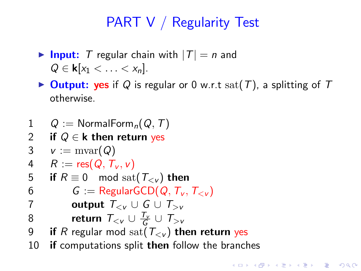## PART V / Regularity Test

- $\triangleright$  Input: T regular chain with  $|T| = n$  and  $Q \in \mathbf{k}[x_1 < \ldots < x_n].$
- $\triangleright$  Output: yes if Q is regular or 0 w.r.t sat(T), a splitting of T otherwise.

**A O A G A 4 O A G A G A 4 O A 4 O A 4 O A 4 O A 4 O A 4 O A 4 O A 4 O A 4 O A 4 O A 4 O A 4 O A 4 O A** 

```
1 Q := \text{NormalForm}_n(Q, T)2 if Q \in \mathbf{k} then return yes
3 v := \text{mvar}(Q)4 R := \text{res}(Q, T_v, v)5 if R \equiv 0 \mod \text{sat}(\mathcal{T}_{\leq v}) then
6 G = \text{RegularGCD}(Q, T_v, T_{\leq v})7 output T_{< v} \cup G \cup T_{> v}8 return T_{<\nu}\cup\frac{T_\nu}{G}\cup T_{>\nu}9 if R regular mod sat(T_{\leq v}) then return yes
10 if computations split then follow the branches
```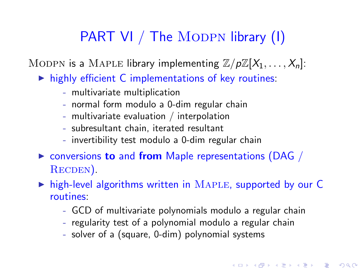## PART VI / The MODPN library (I)

MODPN is a MAPLE library implementing  $\mathbb{Z}/p\mathbb{Z}[X_1,\ldots,X_n]$ :

- $\triangleright$  highly efficient C implementations of key routines:
	- multivariate multiplication
	- normal form modulo a 0-dim regular chain
	- multivariate evaluation / interpolation
	- subresultant chain, iterated resultant
	- invertibility test modulo a 0-dim regular chain
- $\triangleright$  conversions to and from Maple representations (DAG / RECDEN).

 $\triangleright$  high-level algorithms written in MAPLE, supported by our C routines:

- GCD of multivariate polynomials modulo a regular chain

4 D > 4 P > 4 E > 4 E > E + 9 Q O

- regularity test of a polynomial modulo a regular chain
- solver of a (square, 0-dim) polynomial systems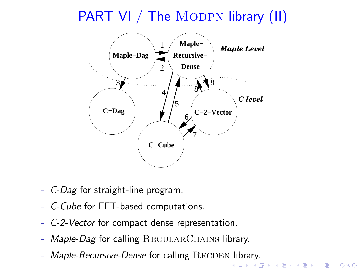PART VI / The MODPN library (II)



- C-Dag for straight-line program.
- C-Cube for FFT-based computations.
- C-2-Vector for compact dense representation.
- Maple-Dag for calling REGULARCHAINS library.
- <span id="page-36-0"></span> $-$  Maple-Recursive-Dense for calling  $RECDEN$  library.

YO F YER YER YER YO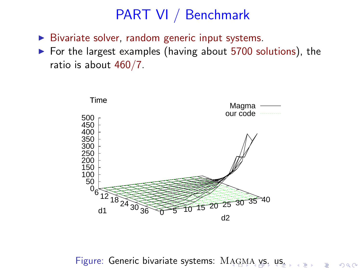- $\triangleright$  Bivariate solver, random generic input systems.
- ▶ For the largest examples (having about 5700 solutions), the ratio is about 460/7.



<span id="page-37-0"></span>Figure: Generic bivariate syste[m](#page-38-0)s: MAGMA [vs](#page-37-0)[.](#page-46-0) [us](#page-0-0).  $\Rightarrow$  $299$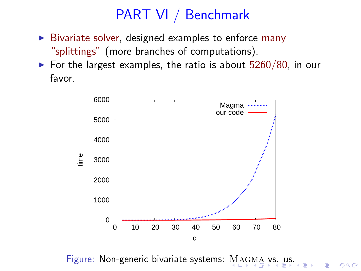- $\triangleright$  Bivariate solver, designed examples to enforce many "splittings" (more branches of computations).
- $\triangleright$  For the largest examples, the ratio is about 5260/80, in our favor.



<span id="page-38-0"></span>Figure: Non-generic bivariate systems: [M](#page-37-0)AG

 $\Rightarrow$ 

 $2990$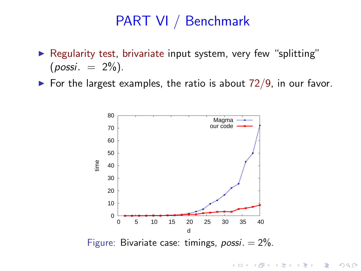- ▶ Regularity test, brivariate input system, very few "splitting"  $(possi. = 2\%)$ .
- <span id="page-39-0"></span> $\triangleright$  For the largest examples, the ratio is about 72/9, in our favor.



**KORK EX KEY KEY YOUR**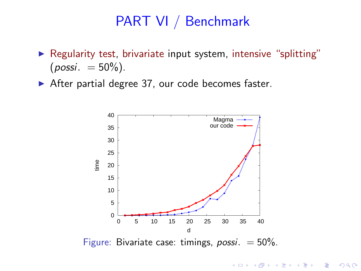- ▶ Regularity test, brivariate input system, intensive "splitting"  $(possi. = 50\%)$ .
- ▶ After partial degree 37, our code becomes faster.



Figure: Bivariate case: timings,  $possi. = 50\%$ .

**KORK ERKER ADAM DE KORA**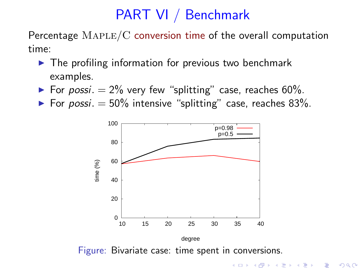Percentage  $\text{MAPLE}/\text{C}$  conversion time of the overall computation time:

- $\blacktriangleright$  The profiling information for previous two benchmark examples.
- ► For possi.  $= 2\%$  very few "splitting" case, reaches 60%.
- ▶ For possi.  $= 50\%$  intensive "splitting" case, reaches 83%.



**A DIA K RIA K E A CHA K H A VIO**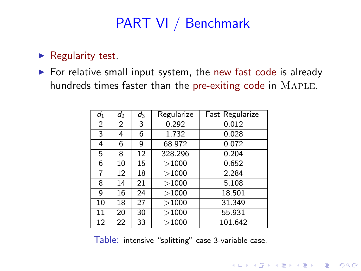#### $\blacktriangleright$  Regularity test.

 $\triangleright$  For relative small input system, the new fast code is already hundreds times faster than the pre-exiting code in MAPLE.

| $d_1$          | $d_2$ | $d_3$ | Regularize | Fast Regularize |
|----------------|-------|-------|------------|-----------------|
| $\overline{2}$ | 2     | 3     | 0.292      | 0.012           |
| 3              | 4     | 6     | 1.732      | 0.028           |
| 4              | 6     | 9     | 68.972     | 0.072           |
| 5              | 8     | 12    | 328.296    | 0.204           |
| 6              | 10    | 15    | >1000      | 0.652           |
| 7              | 12    | 18    | >1000      | 2.284           |
| 8              | 14    | 21    | >1000      | 5.108           |
| 9              | 16    | 24    | >1000      | 18.501          |
| 10             | 18    | 27    | >1000      | 31.349          |
| 11             | 20    | 30    | >1000      | 55.931          |
| 12             | 22    | 33    | >1000      | 101.642         |

Table: intensive "splitting" case 3-variable case.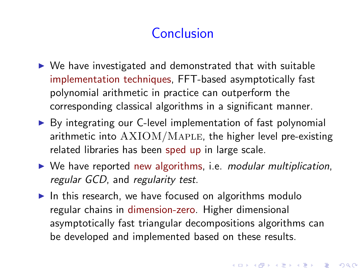# **Conclusion**

- $\triangleright$  We have investigated and demonstrated that with suitable implementation techniques, FFT-based asymptotically fast polynomial arithmetic in practice can outperform the corresponding classical algorithms in a significant manner.
- ▶ By integrating our C-level implementation of fast polynomial arithmetic into  $AXIOM/MAPLE$ , the higher level pre-existing related libraries has been sped up in large scale.
- $\triangleright$  We have reported new algorithms, i.e. modular multiplication, regular GCD, and regularity test.
- $\triangleright$  In this research, we have focused on algorithms modulo regular chains in dimension-zero. Higher dimensional asymptotically fast triangular decompositions algorithms can be developed and implemented based on these results.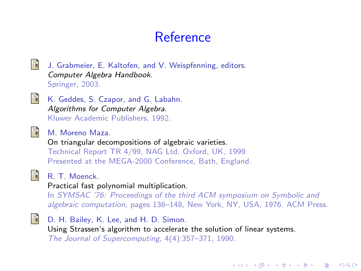## Reference

計 J. Grabmeier, E. Kaltofen, and V. Weispfenning, editors. Computer Algebra Handbook.

Springer, 2003.



K. Geddes, S. Czapor, and G. Labahn. Algorithms for Computer Algebra. Kluwer Academic Publishers, 1992.



M. Moreno Maza.

On triangular decompositions of algebraic varieties. Technical Report TR 4/99, NAG Ltd, Oxford, UK, 1999. Presented at the MEGA-2000 Conference, Bath, England.



#### R. T. Moenck.

#### Practical fast polynomial multiplication.

In SYMSAC '76: Proceedings of the third ACM symposium on Symbolic and algebraic computation, pages 136–148, New York, NY, USA, 1976. ACM Press.

**KORK ERKER ER AGA** 



D. H. Bailey, K. Lee, and H. D. Simon. Using Strassen's algorithm to accelerate the solution of linear systems. The Journal of Supercomputing, 4(4):357–371, 1990.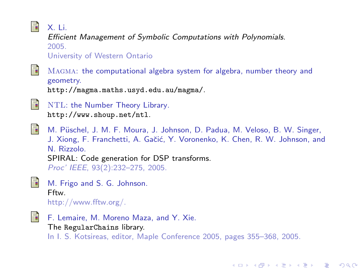#### F.

X. Li.

Efficient Management of Symbolic Computations with Polynomials. 2005. University of Western Ontario

氩

Magma: the computational algebra system for algebra, number theory and geometry.

http://magma.maths.usyd.edu.au/magma/.



NTL: the Number Theory Library. http://www.shoup.net/ntl.



M. Püschel, J. M. F. Moura, J. Johnson, D. Padua, M. Veloso, B. W. Singer, J. Xiong, F. Franchetti, A. Gačić, Y. Voronenko, K. Chen, R. W. Johnson, and N. Rizzolo. SPIRAL: Code generation for DSP transforms. Proc' IEEE, 93(2):232–275, 2005.



M. Frigo and S. G. Johnson. Fftw. http://www.fftw.org/.

量

F. Lemaire, M. Moreno Maza, and Y. Xie. The RegularChains library. In I. S. Kotsireas, editor, Maple Conference 2005, pages 355–368, 2005.

**KORK ERKER ER AGA**